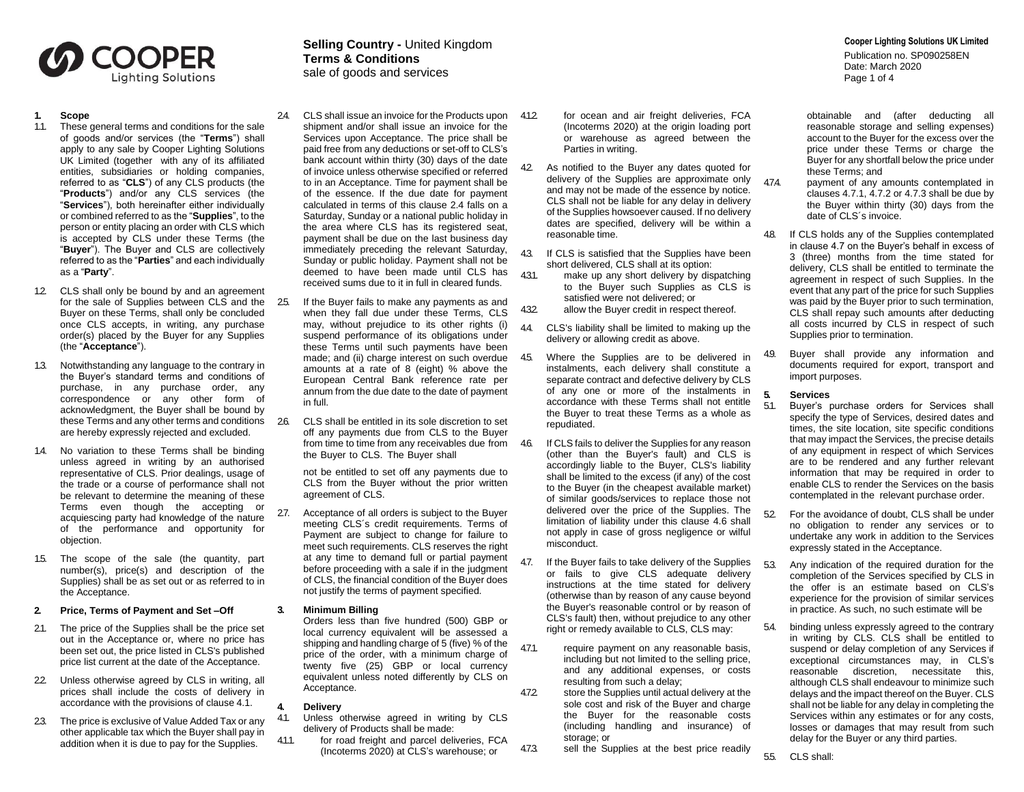

- **1. Scope**
- 1.1. These general terms and conditions for the sale of goods and/or services (the "**Terms**") shall apply to any sale by Cooper Lighting Solutions UK Limited (together with any of its affiliated entities, subsidiaries or holding companies, referred to as "**CLS**") of any CLS products (the "**Products**") and/or any CLS services (the "**Services**"), both hereinafter either individually or combined referred to as the "**Supplies**", to the person or entity placing an order with CLS which is accepted by CLS under these Terms (the "**Buyer**"). The Buyer and CLS are collectively referred to as the "**Parties**" and each individually as a "**Party**".
- 1.2. CLS shall only be bound by and an agreement for the sale of Supplies between CLS and the 25. Buyer on these Terms, shall only be concluded once CLS accepts, in writing, any purchase order(s) placed by the Buyer for any Supplies (the "**Acceptance**").
- 1.3. Notwithstanding any language to the contrary in the Buyer's standard terms and conditions of purchase, in any purchase order, any correspondence or any other form of acknowledgment, the Buyer shall be bound by these Terms and any other terms and conditions 26. are hereby expressly rejected and excluded.
- 1.4. No variation to these Terms shall be binding unless agreed in writing by an authorised representative of CLS. Prior dealings, usage of the trade or a course of performance shall not be relevant to determine the meaning of these Terms even though the accepting or acquiescing party had knowledge of the nature of the performance and opportunity for objection.
- 1.5. The scope of the sale (the quantity, part number(s), price(s) and description of the Supplies) shall be as set out or as referred to in the Acceptance.

### **2. Price, Terms of Payment and Set –Off**

- 21. The price of the Supplies shall be the price set out in the Acceptance or, where no price has been set out, the price listed in CLS's published price list current at the date of the Acceptance.
- 22. Unless otherwise agreed by CLS in writing, all prices shall include the costs of delivery in accordance with the provisions of clause 4.1.
- 2.3. The price is exclusive of Value Added Tax or any other applicable tax which the Buyer shall pay in addition when it is due to pay for the Supplies.

# **Cooper Lighting Solutions UK Limited Selling Country -** United Kingdom **Terms & Conditions** sale of goods and services

- 2.4. CLS shall issue an invoice for the Products upon 4.12 shipment and/or shall issue an invoice for the Services upon Acceptance. The price shall be paid free from any deductions or set-off to CLS's bank account within thirty (30) days of the date of invoice unless otherwise specified or referred to in an Acceptance. Time for payment shall be of the essence. If the due date for payment calculated in terms of this clause 2.4 falls on a Saturday, Sunday or a national public holiday in the area where CLS has its registered seat, payment shall be due on the last business day immediately preceding the relevant Saturday, Sunday or public holiday. Payment shall not be deemed to have been made until CLS has received sums due to it in full in cleared funds.
	- If the Buyer fails to make any payments as and when they fall due under these Terms, CLS may, without prejudice to its other rights (i) suspend performance of its obligations under these Terms until such payments have been made; and (ii) charge interest on such overdue amounts at a rate of 8 (eight) % above the European Central Bank reference rate per annum from the due date to the date of payment in full.
	- 2.6. CLS shall be entitled in its sole discretion to set off any payments due from CLS to the Buyer from time to time from any receivables due from 46. the Buyer to CLS. The Buyer shall

not be entitled to set off any payments due to CLS from the Buyer without the prior written agreement of CLS.

27. Acceptance of all orders is subject to the Buyer meeting CLS´s credit requirements. Terms of Payment are subject to change for failure to meet such requirements. CLS reserves the right at any time to demand full or partial payment before proceeding with a sale if in the judgment of CLS, the financial condition of the Buyer does not justify the terms of payment specified.

#### **3. Minimum Billing**

Orders less than five hundred (500) GBP or local currency equivalent will be assessed a shipping and handling charge of 5 (five) % of the price of the order, with a minimum charge of twenty five (25) GBP or local currency equivalent unless noted differently by CLS on Acceptance.

#### **4. Delivery**

- Unless otherwise agreed in writing by CLS delivery of Products shall be made:
- 4.1.1. for road freight and parcel deliveries, FCA (Incoterms 2020) at CLS's warehouse; or
- for ocean and air freight deliveries, FCA (Incoterms 2020) at the origin loading port or warehouse as agreed between the Parties in writing.
- 42 As notified to the Buyer any dates quoted for delivery of the Supplies are approximate only and may not be made of the essence by notice. CLS shall not be liable for any delay in delivery of the Supplies howsoever caused. If no delivery dates are specified, delivery will be within a reasonable time.
- 4.3. If CLS is satisfied that the Supplies have been short delivered, CLS shall at its option:
- 4.3.1. make up any short delivery by dispatching to the Buyer such Supplies as CLS is satisfied were not delivered; or
- 4.3.2. allow the Buyer credit in respect thereof.
- 4.4. CLS's liability shall be limited to making up the delivery or allowing credit as above.
- 4.5. Where the Supplies are to be delivered in instalments, each delivery shall constitute a separate contract and defective delivery by CLS of any one or more of the instalments in accordance with these Terms shall not entitle the Buyer to treat these Terms as a whole as repudiated.
	- If CLS fails to deliver the Supplies for any reason (other than the Buyer's fault) and CLS is accordingly liable to the Buyer, CLS's liability shall be limited to the excess (if any) of the cost to the Buyer (in the cheapest available market) of similar goods/services to replace those not delivered over the price of the Supplies. The limitation of liability under this clause 4.6 shall not apply in case of gross negligence or wilful misconduct.
- 4.7. If the Buyer fails to take delivery of the Supplies or fails to give CLS adequate delivery instructions at the time stated for delivery (otherwise than by reason of any cause beyond the Buyer's reasonable control or by reason of CLS's fault) then, without prejudice to any other right or remedy available to CLS, CLS may:
- 4.7.1. require payment on any reasonable basis, including but not limited to the selling price, and any additional expenses, or costs resulting from such a delay;
- 4.7.2. store the Supplies until actual delivery at the sole cost and risk of the Buyer and charge the Buyer for the reasonable costs (including handling and insurance) of storage; or

473. sell the Supplies at the best price readily

Publication no. SP090258EN Date: March 2020 Page 1 of 4

obtainable and (after deducting all reasonable storage and selling expenses) account to the Buyer for the excess over the price under these Terms or charge the Buyer for any shortfall below the price under these Terms; and

- 4.7.4. payment of any amounts contemplated in clauses 4.7.1, 4.7.2 or 4.7.3 shall be due by the Buyer within thirty (30) days from the date of CLS´s invoice.
- 4.8. If CLS holds any of the Supplies contemplated in clause 4.7 on the Buyer's behalf in excess of 3 (three) months from the time stated for delivery, CLS shall be entitled to terminate the agreement in respect of such Supplies. In the event that any part of the price for such Supplies was paid by the Buyer prior to such termination, CLS shall repay such amounts after deducting all costs incurred by CLS in respect of such Supplies prior to termination.
- 4.9. Buyer shall provide any information and documents required for export, transport and import purposes.

# **5. Services**

- 5.1. Buyer's purchase orders for Services shall specify the type of Services, desired dates and times, the site location, site specific conditions that may impact the Services, the precise details of any equipment in respect of which Services are to be rendered and any further relevant information that may be required in order to enable CLS to render the Services on the basis contemplated in the relevant purchase order.
- 5.2. For the avoidance of doubt, CLS shall be under no obligation to render any services or to undertake any work in addition to the Services expressly stated in the Acceptance.
- 5.3. Any indication of the required duration for the completion of the Services specified by CLS in the offer is an estimate based on CLS's experience for the provision of similar services in practice. As such, no such estimate will be
- 5.4. binding unless expressly agreed to the contrary in writing by CLS. CLS shall be entitled to suspend or delay completion of any Services if exceptional circumstances may, in CLS's reasonable discretion, necessitate this, although CLS shall endeavour to minimize such delays and the impact thereof on the Buyer. CLS shall not be liable for any delay in completing the Services within any estimates or for any costs, losses or damages that may result from such delay for the Buyer or any third parties.
- 5.5. CLS shall: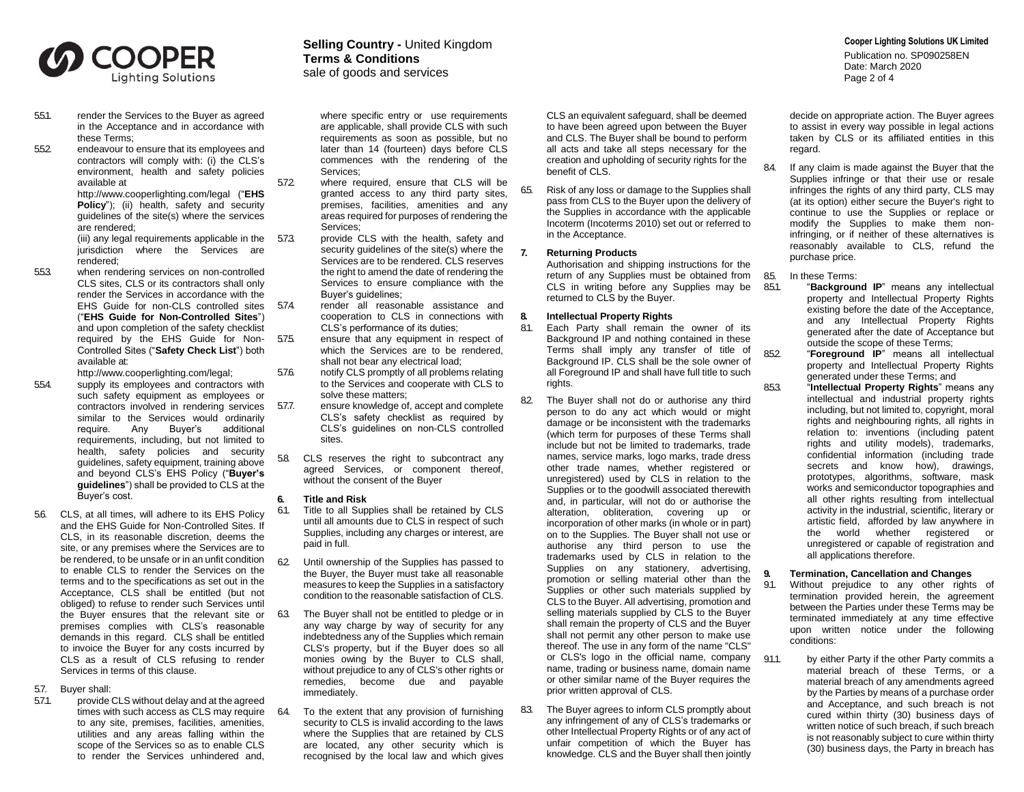

- 5.5.1. render the Services to the Buyer as agreed in the Acceptance and in accordance with these Terms;
- 5.5.2. endeavour to ensure that its employees and contractors will comply with: (i) the CLS's environment, health and safety policies available at

[http://ww](http://w/)w.cooperlighting.com/legal ("**EHS Policy**"); (ii) health, safety and security guidelines of the site(s) where the services are rendered;

(iii) any legal requirements applicable in the 573. jurisdiction where the Services are rendered;

- 5.5.3. when rendering services on non-controlled CLS sites, CLS or its contractors shall only render the Services in accordance with the EHS Guide for non-CLS controlled sites 57.4. ("**EHS Guide for Non-Controlled Sites**") and upon completion of the safety checklist required by the EHS Guide for Non- 575. Controlled Sites ("**Safety Check List**") both available at: [http://ww](http://w/)w.cooperlighting.com/legal;
- 5.5.4. supply its employees and contractors with
- such safety equipment as employees or contractors involved in rendering services 577. similar to the Services would ordinarily require. Any Buyer's additional requirements, including, but not limited to health, safety policies and security guidelines, safety equipment, training above and beyond CLS's EHS Policy ("**Buyer's guidelines**") shall be provided to CLS at the Buyer's cost.
- 5.6. CLS, at all times, will adhere to its EHS Policy and the EHS Guide for Non-Controlled Sites. If CLS, in its reasonable discretion, deems the site, or any premises where the Services are to be rendered, to be unsafe or in an unfit condition to enable CLS to render the Services on the terms and to the specifications as set out in the Acceptance, CLS shall be entitled (but not obliged) to refuse to render such Services until the Buyer ensures that the relevant site or premises complies with CLS's reasonable demands in this regard. CLS shall be entitled to invoice the Buyer for any costs incurred by CLS as a result of CLS refusing to render Services in terms of this clause.
- 5.7. Buyer shall:
- 5.7.1. provide CLS without delay and at the agreed times with such access as CLS may require 64. to any site, premises, facilities, amenities, utilities and any areas falling within the scope of the Services so as to enable CLS to render the Services unhindered and,

# **Cooper Lighting Solutions UK Limited Selling Country -** United Kingdom **Terms & Conditions**

sale of goods and services

where specific entry or use requirements are applicable, shall provide CLS with such requirements as soon as possible, but no later than 14 (fourteen) days before CLS commences with the rendering of the Services;

- 5.7.2. where required, ensure that CLS will be granted access to any third party sites, premises, facilities, amenities and any areas required for purposes of rendering the Services;
	- provide CLS with the health, safety and security guidelines of the site(s) where the Services are to be rendered. CLS reserves the right to amend the date of rendering the Services to ensure compliance with the Buyer's guidelines;
	- 5.7.4. render all reasonable assistance and cooperation to CLS in connections with CLS's performance of its duties;
	- ensure that any equipment in respect of which the Services are to be rendered, shall not bear any electrical load;
- 5.7.6. notify CLS promptly of all problems relating to the Services and cooperate with CLS to solve these matters;
	- ensure knowledge of, accept and complete CLS's safety checklist as required by CLS's guidelines on non-CLS controlled sites.
- 5.8. CLS reserves the right to subcontract any agreed Services, or component thereof, without the consent of the Buyer

### **6. Title and Risk**

- 6.1. Title to all Supplies shall be retained by CLS until all amounts due to CLS in respect of such Supplies, including any charges or interest, are paid in full.
- 6.2. Until ownership of the Supplies has passed to the Buyer, the Buyer must take all reasonable measures to keep the Supplies in a satisfactory condition to the reasonable satisfaction of CLS.
	- The Buyer shall not be entitled to pledge or in any way charge by way of security for any indebtedness any of the Supplies which remain CLS's property, but if the Buyer does so all monies owing by the Buyer to CLS shall, without prejudice to any of CLS's other rights or remedies, become due and payable immediately.

To the extent that any provision of furnishing security to CLS is invalid according to the laws where the Supplies that are retained by CLS are located, any other security which is recognised by the local law and which gives

CLS an equivalent safeguard, shall be deemed to have been agreed upon between the Buyer and CLS. The Buyer shall be bound to perform all acts and take all steps necessary for the creation and upholding of security rights for the benefit of CLS.

6.5. Risk of any loss or damage to the Supplies shall pass from CLS to the Buyer upon the delivery of the Supplies in accordance with the applicable Incoterm (Incoterms 2010) set out or referred to in the Acceptance.

# **7. Returning Products**

Authorisation and shipping instructions for the return of any Supplies must be obtained from 85. CLS in writing before any Supplies may be returned to CLS by the Buyer.

# **8. Intellectual Property Rights**

- 8.1. Each Party shall remain the owner of its Background IP and nothing contained in these Terms shall imply any transfer of title of Background IP. CLS shall be the sole owner of all Foreground IP and shall have full title to such rights.
- 8.2. The Buyer shall not do or authorise any third person to do any act which would or might damage or be inconsistent with the trademarks (which term for purposes of these Terms shall include but not be limited to trademarks, trade names, service marks, logo marks, trade dress other trade names, whether registered or unregistered) used by CLS in relation to the Supplies or to the goodwill associated therewith and, in particular, will not do or authorise the alteration, obliteration, covering up or incorporation of other marks (in whole or in part) on to the Supplies. The Buyer shall not use or authorise any third person to use the trademarks used by CLS in relation to the Supplies on any stationery, advertising, promotion or selling material other than the Supplies or other such materials supplied by CLS to the Buyer. All advertising, promotion and selling materials supplied by CLS to the Buyer shall remain the property of CLS and the Buyer shall not permit any other person to make use thereof. The use in any form of the name "CLS" or CLS's logo in the official name, company 911 name, trading or business name, domain name or other similar name of the Buyer requires the prior written approval of CLS.
- 8.3. The Buver agrees to inform CLS promptly about any infringement of any of CLS's trademarks or other Intellectual Property Rights or of any act of unfair competition of which the Buyer has knowledge. CLS and the Buyer shall then jointly

Publication no. SP090258EN Date: March 2020 Page 2 of 4

decide on appropriate action. The Buyer agrees to assist in every way possible in legal actions taken by CLS or its affiliated entities in this regard.

8.4. If any claim is made against the Buyer that the Supplies infringe or that their use or resale infringes the rights of any third party, CLS may (at its option) either secure the Buyer's right to continue to use the Supplies or replace or modify the Supplies to make them noninfringing, or if neither of these alternatives is reasonably available to CLS, refund the purchase price.

In these Terms:

- 8.5.1. "**Background IP**" means any intellectual property and Intellectual Property Rights existing before the date of the Acceptance, and any Intellectual Property Rights generated after the date of Acceptance but outside the scope of these Terms;
- 8.5.2. "**Foreground IP**" means all intellectual property and Intellectual Property Rights generated under these Terms; and
- 8.5.3. "**Intellectual Property Rights**" means any intellectual and industrial property rights including, but not limited to, copyright, moral rights and neighbouring rights, all rights in relation to: inventions (including patent rights and utility models), trademarks, confidential information (including trade secrets and know how), drawings, prototypes, algorithms, software, mask works and semiconductor topographies and all other rights resulting from intellectual activity in the industrial, scientific, literary or artistic field, afforded by law anywhere in the world whether registered or unregistered or capable of registration and all applications therefore.

# **9. Termination, Cancellation and Changes**

- 9.1. Without prejudice to any other rights of termination provided herein, the agreement between the Parties under these Terms may be terminated immediately at any time effective upon written notice under the following conditions:
	- by either Party if the other Party commits a material breach of these Terms, or a material breach of any amendments agreed by the Parties by means of a purchase order and Acceptance, and such breach is not cured within thirty (30) business days of written notice of such breach, if such breach is not reasonably subject to cure within thirty (30) business days, the Party in breach has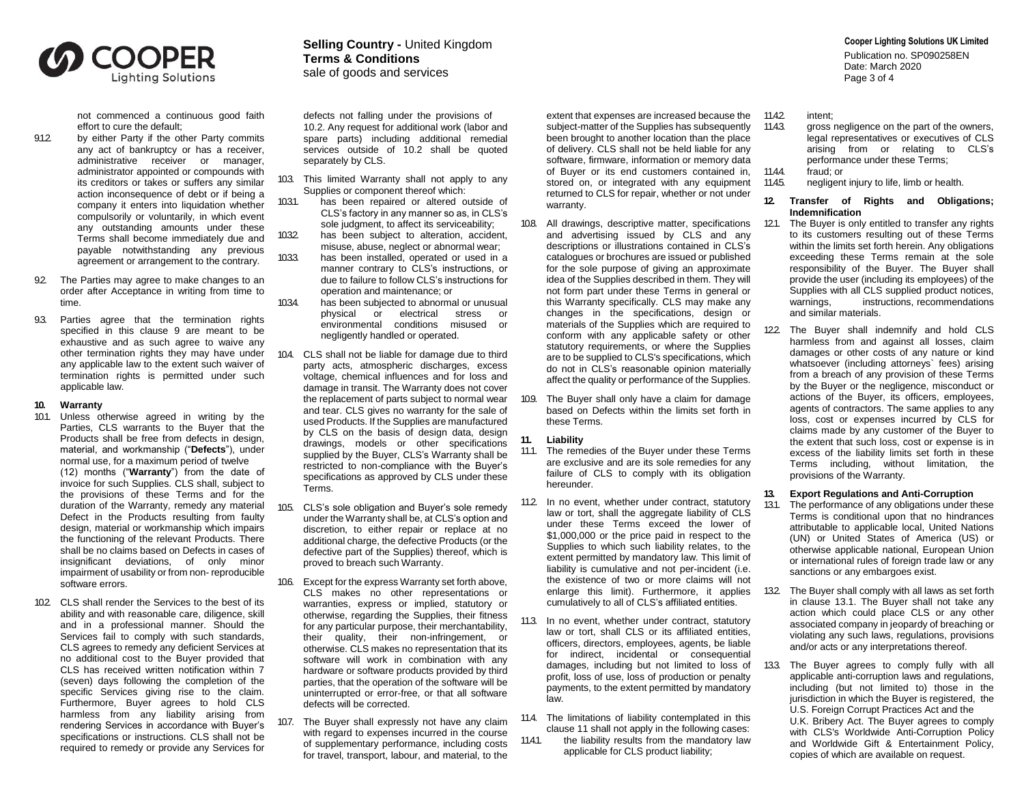

not commenced a continuous good faith effort to cure the default;

- 9.1.2 by either Party if the other Party commits any act of bankruptcy or has a receiver, administrative receiver or manager, administrator appointed or compounds with its creditors or takes or suffers any similar action inconsequence of debt or if being a company it enters into liquidation whether compulsorily or voluntarily, in which event any outstanding amounts under these Terms shall become immediately due and payable notwithstanding any previous agreement or arrangement to the contrary.
- 92 The Parties may agree to make changes to an order after Acceptance in writing from time to time.
- 9.3. Parties agree that the termination rights specified in this clause 9 are meant to be exhaustive and as such agree to waive any other termination rights they may have under any applicable law to the extent such waiver of termination rights is permitted under such applicable law.
- **10. Warranty**
- 10.1. Unless otherwise agreed in writing by the Parties, CLS warrants to the Buyer that the Products shall be free from defects in design, material, and workmanship ("**Defects**"), under normal use, for a maximum period of twelve (12) months ("**Warranty**") from the date of invoice for such Supplies. CLS shall, subject to the provisions of these Terms and for the duration of the Warranty, remedy any material Defect in the Products resulting from faulty design, material or workmanship which impairs the functioning of the relevant Products. There shall be no claims based on Defects in cases of insignificant deviations, of only minor impairment of usability or from non- reproducible software errors.
- 102. CLS shall render the Services to the best of its ability and with reasonable care, diligence, skill and in a professional manner. Should the Services fail to comply with such standards, CLS agrees to remedy any deficient Services at no additional cost to the Buyer provided that CLS has received written notification within 7 (seven) days following the completion of the specific Services giving rise to the claim. Furthermore, Buyer agrees to hold CLS harmless from any liability arising from rendering Services in accordance with Buyer's specifications or instructions. CLS shall not be required to remedy or provide any Services for

# **Cooper Lighting Solutions UK Limited Selling Country -** United Kingdom **Terms & Conditions** sale of goods and services

defects not falling under the provisions of 10.2. Any request for additional work (labor and spare parts) including additional remedial services outside of 10.2 shall be quoted separately by CLS.

- 10.3. This limited Warranty shall not apply to any Supplies or component thereof which:
- 10.3.1. has been repaired or altered outside of CLS's factory in any manner so as, in CLS's sole judgment, to affect its serviceability;
- 10.3.2. has been subject to alteration, accident, misuse, abuse, neglect or abnormal wear;
- 10.3.3. has been installed, operated or used in a manner contrary to CLS's instructions, or due to failure to follow CLS's instructions for operation and maintenance; or
- 10.3.4. has been subjected to abnormal or unusual physical or electrical stress or environmental conditions misused or negligently handled or operated.
- 10.4. CLS shall not be liable for damage due to third party acts, atmospheric discharges, excess voltage, chemical influences and for loss and damage in transit. The Warranty does not cover the replacement of parts subject to normal wear and tear. CLS gives no warranty for the sale of used Products. If the Supplies are manufactured by CLS on the basis of design data, design drawings, models or other specifications supplied by the Buyer, CLS's Warranty shall be restricted to non-compliance with the Buyer's specifications as approved by CLS under these Terms.
- 10.5. CLS's sole obligation and Buyer's sole remedy under the Warranty shall be, at CLS's option and discretion, to either repair or replace at no additional charge, the defective Products (or the defective part of the Supplies) thereof, which is proved to breach such Warranty.
- 10.6. Except for the express Warranty set forth above, CLS makes no other representations or warranties, express or implied, statutory or otherwise, regarding the Supplies, their fitness for any particular purpose, their merchantability, their quality, their non-infringement, or otherwise. CLS makes no representation that its software will work in combination with any hardware or software products provided by third parties, that the operation of the software will be uninterrupted or error-free, or that all software defects will be corrected.
- 10.7. The Buyer shall expressly not have any claim with regard to expenses incurred in the course of supplementary performance, including costs for travel, transport, labour, and material, to the

extent that expenses are increased because the subject-matter of the Supplies has subsequently been brought to another location than the place of delivery. CLS shall not be held liable for any software, firmware, information or memory data of Buyer or its end customers contained in, stored on, or integrated with any equipment returned to CLS for repair, whether or not under warranty.

- 10.8. All drawings, descriptive matter, specifications and advertising issued by CLS and any descriptions or illustrations contained in CLS's catalogues or brochures are issued or published for the sole purpose of giving an approximate idea of the Supplies described in them. They will not form part under these Terms in general or this Warranty specifically. CLS may make any changes in the specifications, design or materials of the Supplies which are required to conform with any applicable safety or other statutory requirements, or where the Supplies are to be supplied to CLS's specifications, which do not in CLS's reasonable opinion materially affect the quality or performance of the Supplies.
- 10.9. The Buyer shall only have a claim for damage based on Defects within the limits set forth in these Terms.

# **11. Liability**

- 11.1. The remedies of the Buyer under these Terms are exclusive and are its sole remedies for any failure of CLS to comply with its obligation hereunder.
- 11.2. In no event, whether under contract, statutory law or tort, shall the aggregate liability of CLS under these Terms exceed the lower of \$1,000,000 or the price paid in respect to the Supplies to which such liability relates, to the extent permitted by mandatory law. This limit of liability is cumulative and not per-incident (i.e. the existence of two or more claims will not enlarge this limit). Furthermore, it applies cumulatively to all of CLS's affiliated entities.
- 11.3. In no event, whether under contract, statutory law or tort, shall CLS or its affiliated entities, officers, directors, employees, agents, be liable for indirect, incidental or consequential damages, including but not limited to loss of profit, loss of use, loss of production or penalty payments, to the extent permitted by mandatory law.
- 11.4. The limitations of liability contemplated in this clause 11 shall not apply in the following cases:
- 11.4.1. the liability results from the mandatory law applicable for CLS product liability;

Publication no. SP090258EN Date: March 2020 Page 3 of 4

- 11.42 intent:
- 11.4.3. gross negligence on the part of the owners. legal representatives or executives of CLS arising from or relating to CLS's performance under these Terms;
- 11.4.4. fraud; or
- 11.45. negligent injury to life, limb or health.

### **12. Transfer of Rights and Obligations; Indemnification**

- 121. The Buyer is only entitled to transfer any rights to its customers resulting out of these Terms within the limits set forth herein. Any obligations exceeding these Terms remain at the sole responsibility of the Buyer. The Buyer shall provide the user (including its employees) of the Supplies with all CLS supplied product notices,<br>warnings, instructions, recommendations instructions, recommendations and similar materials.
- 12.2. The Buver shall indemnify and hold CLS harmless from and against all losses, claim damages or other costs of any nature or kind whatsoever (including attorneys` fees) arising from a breach of any provision of these Terms by the Buyer or the negligence, misconduct or actions of the Buyer, its officers, employees, agents of contractors. The same applies to any loss, cost or expenses incurred by CLS for claims made by any customer of the Buyer to the extent that such loss, cost or expense is in excess of the liability limits set forth in these Terms including, without limitation, the provisions of the Warranty.

## **13. Export Regulations and Anti-Corruption**

- 13.1. The performance of any obligations under these Terms is conditional upon that no hindrances attributable to applicable local, United Nations (UN) or United States of America (US) or otherwise applicable national, European Union or international rules of foreign trade law or any sanctions or any embargoes exist.
- 13.2. The Buyer shall comply with all laws as set forth in clause 13.1. The Buyer shall not take any action which could place CLS or any other associated company in jeopardy of breaching or violating any such laws, regulations, provisions and/or acts or any interpretations thereof.
- 13.3. The Buyer agrees to comply fully with all applicable anti-corruption laws and regulations, including (but not limited to) those in the jurisdiction in which the Buyer is registered, the U.S. Foreign Corrupt Practices Act and the U.K. Bribery Act. The Buyer agrees to comply with CLS's Worldwide Anti-Corruption Policy and Worldwide Gift & Entertainment Policy, copies of which are available on request.